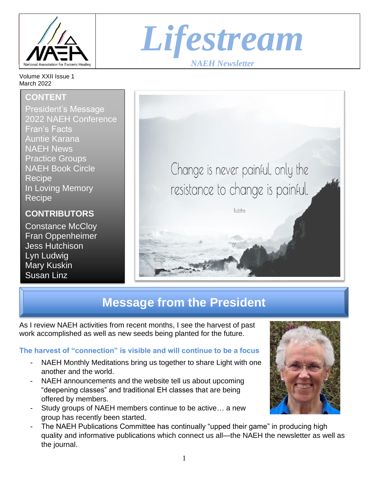

Volume XXII Issue 1 March 2022

### **CONTENT**

President's Message 2022 NAEH Conference Fran's Facts Auntie Karana NAEH News Practice Groups NAEH Book Circle **Recipe** In Loving Memory Recipe

**CONTRIBUTORS**

Constance McCloy Fran Oppenheimer Jess Hutchison Lyn Ludwig Mary Kuskin Susan Linz





# **Message from the President**

As I review NAEH activities from recent months, I see the harvest of past work accomplished as well as new seeds being planted for the future.

### **The harvest of "connection" is visible and will continue to be a focus**

- NAEH Monthly Meditations bring us together to share Light with one another and the world.
- NAEH announcements and the website tell us about upcoming "deepening classes" and traditional EH classes that are being offered by members.
- Study groups of NAEH members continue to be active... a new group has recently been started.
- The NAEH Publications Committee has continually "upped their game" in producing high quality and informative publications which connect us all—the NAEH the newsletter as well as the journal.

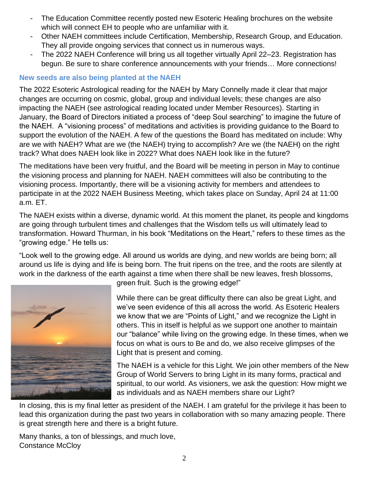- The Education Committee recently posted new Esoteric Healing brochures on the website which will connect EH to people who are unfamiliar with it.
- Other NAEH committees include Certification, Membership, Research Group, and Education. They all provide ongoing services that connect us in numerous ways.
- The 2022 NAEH Conference will bring us all together virtually April 22–23. Registration has begun. Be sure to share conference announcements with your friends… More connections!

#### **New seeds are also being planted at the NAEH**

The 2022 Esoteric Astrological reading for the NAEH by Mary Connelly made it clear that major changes are occurring on cosmic, global, group and individual levels; these changes are also impacting the NAEH (see astrological reading located under Member Resources). Starting in January, the Board of Directors initiated a process of "deep Soul searching" to imagine the future of the NAEH. A "visioning process" of meditations and activities is providing guidance to the Board to support the evolution of the NAEH. A few of the questions the Board has meditated on include: Why are we with NAEH? What are we (the NAEH) trying to accomplish? Are we (the NAEH) on the right track? What does NAEH look like in 2022? What does NAEH look like in the future?

The meditations have been very fruitful, and the Board will be meeting in person in May to continue the visioning process and planning for NAEH. NAEH committees will also be contributing to the visioning process. Importantly, there will be a visioning activity for members and attendees to participate in at the 2022 NAEH Business Meeting, which takes place on Sunday, April 24 at 11:00 a.m. ET.

The NAEH exists within a diverse, dynamic world. At this moment the planet, its people and kingdoms are going through turbulent times and challenges that the Wisdom tells us will ultimately lead to transformation. Howard Thurman, in his book "Meditations on the Heart," refers to these times as the "growing edge." He tells us:

"Look well to the growing edge. All around us worlds are dying, and new worlds are being born; all around us life is dying and life is being born. The fruit ripens on the tree, and the roots are silently at work in the darkness of the earth against a time when there shall be new leaves, fresh blossoms,



green fruit. Such is the growing edge!"

While there can be great difficulty there can also be great Light, and we've seen evidence of this all across the world. As Esoteric Healers we know that we are "Points of Light," and we recognize the Light in others. This in itself is helpful as we support one another to maintain our "balance" while living on the growing edge. In these times, when we focus on what is ours to Be and do, we also receive glimpses of the Light that is present and coming.

The NAEH is a vehicle for this Light. We join other members of the New Group of World Servers to bring Light in its many forms, practical and spiritual, to our world. As visioners, we ask the question: How might we as individuals and as NAEH members share our Light?

In closing, this is my final letter as president of the NAEH. I am grateful for the privilege it has been to lead this organization during the past two years in collaboration with so many amazing people. There is great strength here and there is a bright future.

Many thanks, a ton of blessings, and much love, Constance McCloy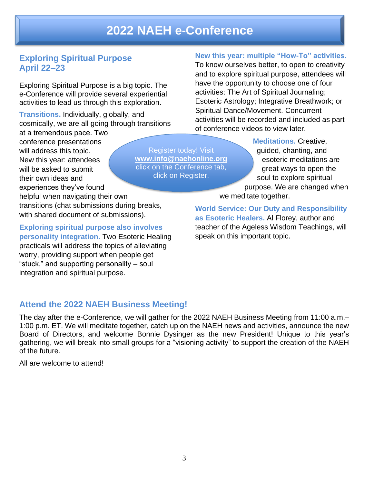## **2022 NAEH e-Conference**

### **Exploring Spiritual Purpose April 22–23**

Exploring Spiritual Purpose is a big topic. The e-Conference will provide several experiential activities to lead us through this exploration.

**Transitions.** Individually, globally, and cosmically, we are all going through transitions

at a tremendous pace. Two conference presentations will address this topic. New this year: attendees will be asked to submit their own ideas and experiences they've found helpful when navigating their own

transitions (chat submissions during breaks, with shared document of submissions).

**Exploring spiritual purpose also involves personality integration.** Two Esoteric Healing practicals will address the topics of alleviating worry, providing support when people get "stuck," and supporting personality – soul integration and spiritual purpose.

#### Register today! Visit **[www.info@naehonline.org](http://www.info@naehonline.org)** click on the Conference tab, click on Register.

#### **New this year: multiple "How-To" activities.**

To know ourselves better, to open to creativity and to explore spiritual purpose, attendees will have the opportunity to choose one of four activities: The Art of Spiritual Journaling; Esoteric Astrology; Integrative Breathwork; or Spiritual Dance/Movement. Concurrent activities will be recorded and included as part of conference videos to view later.

> **Meditations.** Creative, guided, chanting, and esoteric meditations are great ways to open the soul to explore spiritual purpose. We are changed when we meditate together.

**World Service: Our Duty and Responsibility as Esoteric Healers.** Al Florey, author and teacher of the Ageless Wisdom Teachings, will speak on this important topic.

#### **Attend the 2022 NAEH Business Meeting!**

The day after the e-Conference, we will gather for the 2022 NAEH Business Meeting from 11:00 a.m.– 1:00 p.m. ET. We will meditate together, catch up on the NAEH news and activities, announce the new Board of Directors, and welcome Bonnie Dysinger as the new President! Unique to this year's gathering, we will break into small groups for a "visioning activity" to support the creation of the NAEH of the future.

All are welcome to attend!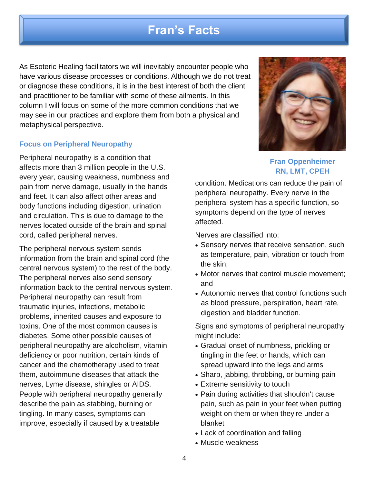## **Fran's Facts**

As Esoteric Healing facilitators we will inevitably encounter people who have various disease processes or conditions. Although we do not treat or diagnose these conditions, it is in the best interest of both the client and practitioner to be familiar with some of these ailments. In this column I will focus on some of the more common conditions that we may see in our practices and explore them from both a physical and metaphysical perspective.

#### **Focus on Peripheral Neuropathy**

Peripheral neuropathy is a condition that affects more than 3 million people in the U.S. every year, causing weakness, numbness and pain from nerve damage, usually in the hands and feet. It can also affect other areas and body functions including digestion, urination and circulation. This is due to damage to the nerves located outside of the brain and spinal cord, called peripheral nerves.

The peripheral nervous system sends information from the brain and spinal cord (the central nervous system) to the rest of the body. The peripheral nerves also send sensory information back to the central nervous system. Peripheral neuropathy can result from traumatic injuries, infections, metabolic problems, inherited causes and exposure to toxins. One of the most common causes is diabetes. Some other possible causes of peripheral neuropathy are alcoholism, vitamin deficiency or poor nutrition, certain kinds of cancer and the chemotherapy used to treat them, autoimmune diseases that attack the nerves, Lyme disease, shingles or AIDS. People with peripheral neuropathy generally describe the pain as stabbing, burning or tingling. In many cases, symptoms can improve, especially if caused by a treatable



#### **Fran Oppenheimer RN, LMT, CPEH**

condition. Medications can reduce the pain of peripheral neuropathy. Every nerve in the peripheral system has a specific function, so symptoms depend on the type of nerves affected.

Nerves are classified into:

- Sensory nerves that receive sensation, such as temperature, pain, vibration or touch from the skin;
- Motor nerves that control muscle movement; and
- Autonomic nerves that control functions such as blood pressure, perspiration, heart rate, digestion and bladder function.

Signs and symptoms of peripheral neuropathy might include:

- Gradual onset of numbness, prickling or tingling in the feet or hands, which can spread upward into the legs and arms
- Sharp, jabbing, throbbing, or burning pain
- Extreme sensitivity to touch
- Pain during activities that shouldn't cause pain, such as pain in your feet when putting weight on them or when they're under a blanket
- Lack of coordination and falling
- Muscle weakness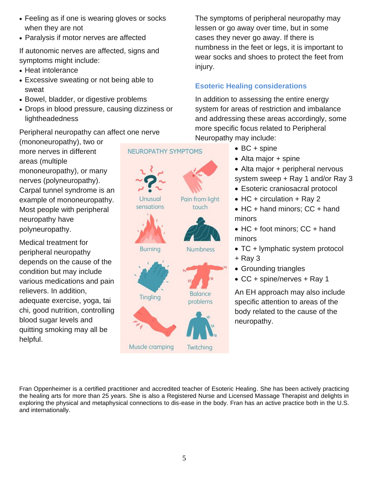- Feeling as if one is wearing gloves or socks when they are not
- Paralysis if motor nerves are affected

If autonomic nerves are affected, signs and symptoms might include:

- Heat intolerance
- Excessive sweating or not being able to sweat
- Bowel, bladder, or digestive problems
- Drops in blood pressure, causing dizziness or lightheadedness
- Peripheral neuropathy can affect one nerve

(mononeuropathy), two or more nerves in different areas (multiple mononeuropathy), or many nerves (polyneuropathy). Carpal tunnel syndrome is an example of mononeuropathy. Most people with peripheral neuropathy have polyneuropathy.

Medical treatment for peripheral neuropathy depends on the cause of the condition but may include various medications and pain relievers. In addition, adequate exercise, yoga, tai chi, good nutrition, controlling blood sugar levels and quitting smoking may all be helpful.

#### **NEUROPATHY SYMPTOMS**



The symptoms of peripheral neuropathy may lessen or go away over time, but in some cases they never go away. If there is numbness in the feet or legs, it is important to wear socks and shoes to protect the feet from injury.

### **Esoteric Healing considerations**

In addition to assessing the entire energy system for areas of restriction and imbalance and addressing these areas accordingly, some more specific focus related to Peripheral Neuropathy may include:

- BC + spine
- Alta major + spine
- Alta major + peripheral nervous system sweep + Ray 1 and/or Ray 3
- Esoteric craniosacral protocol
- HC + circulation + Ray 2
- HC + hand minors; CC + hand minors
- $HC + foot$  minors:  $CC + hand$ minors
- TC + lymphatic system protocol
- + Ray 3
- Grounding triangles
- CC + spine/nerves + Ray 1

An EH approach may also include specific attention to areas of the body related to the cause of the neuropathy.

Fran Oppenheimer is a certified practitioner and accredited teacher of Esoteric Healing. She has been actively practicing the healing arts for more than 25 years. She is also a Registered Nurse and Licensed Massage Therapist and delights in exploring the physical and metaphysical connections to dis-ease in the body. Fran has an active practice both in the U.S. and internationally.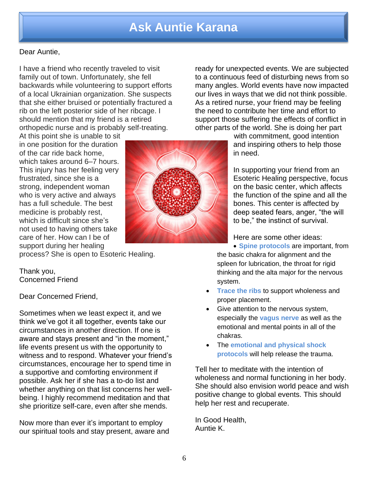## **Ask Auntie Karana**

#### Dear Auntie,

I have a friend who recently traveled to visit family out of town. Unfortunately, she fell backwards while volunteering to support efforts of a local Ukrainian organization. She suspects that she either bruised or potentially fractured a rib on the left posterior side of her ribcage. I should mention that my friend is a retired orthopedic nurse and is probably self-treating.

At this point she is unable to sit in one position for the duration of the car ride back home, which takes around 6–7 hours. This injury has her feeling very frustrated, since she is a strong, independent woman who is very active and always has a full schedule. The best medicine is probably rest, which is difficult since she's not used to having others take care of her. How can I be of support during her healing

process? She is open to Esoteric Healing.

Thank you, Concerned Friend

Dear Concerned Friend,

Sometimes when we least expect it, and we think we've got it all together, events take our circumstances in another direction. If one is aware and stays present and "in the moment," life events present us with the opportunity to witness and to respond. Whatever your friend's circumstances, encourage her to spend time in a supportive and comforting environment if possible. Ask her if she has a to-do list and whether anything on that list concerns her wellbeing. I highly recommend meditation and that she prioritize self-care, even after she mends.

Now more than ever it's important to employ our spiritual tools and stay present, aware and



ready for unexpected events. We are subjected to a continuous feed of disturbing news from so many angles. World events have now impacted our lives in ways that we did not think possible. As a retired nurse, your friend may be feeling the need to contribute her time and effort to support those suffering the effects of conflict in other parts of the world. She is doing her part

> with commitment, good intention and inspiring others to help those in need.

In supporting your friend from an Esoteric Healing perspective, focus on the basic center, which affects the function of the spine and all the bones. This center is affected by deep seated fears, anger, "the will to be," the instinct of survival.

Here are some other ideas:

• **Spine protocols** are important, from the basic chakra for alignment and the spleen for lubrication, the throat for rigid thinking and the alta major for the nervous system.

- **Trace the ribs** to support wholeness and proper placement.
- Give attention to the nervous system, especially the **vagus nerve** as well as the emotional and mental points in all of the chakras.
- The **emotional and physical shock protocols** will help release the trauma.

Tell her to meditate with the intention of wholeness and normal functioning in her body. She should also envision world peace and wish positive change to global events. This should help her rest and recuperate.

In Good Health, Auntie K.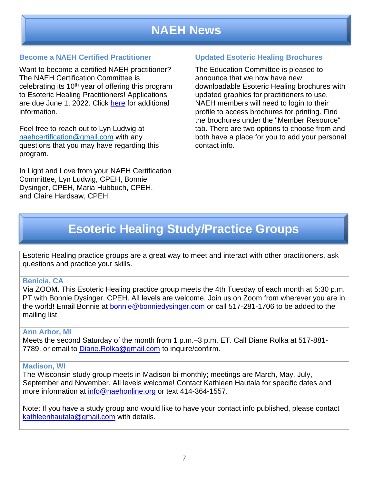# **NAEH News**

#### **Become a NAEH Certified Practitioner**

Want to become a certified NAEH practitioner? The NAEH Certification Committee is celebrating its  $10<sup>th</sup>$  year of offering this program to Esoteric Healing Practitioners! Applications are due June 1, 2022. Click [here](https://www.naehonline.org/certification1) for additional information.

Feel free to reach out to Lyn Ludwig at [naehcertification@gmail.com](mailto:naehcertification@gmail.com) with any questions that you may have regarding this program.

In Light and Love from your NAEH Certification Committee, Lyn Ludwig, CPEH, Bonnie Dysinger, CPEH, Maria Hubbuch, CPEH, and Claire Hardsaw, CPEH

#### **Updated Esoteric Healing Brochures**

The Education Committee is pleased to announce that we now have new downloadable Esoteric Healing brochures with updated graphics for practitioners to use. NAEH members will need to login to their profile to access brochures for printing. Find the brochures under the "Member Resource" tab. There are two options to choose from and both have a place for you to add your personal contact info.

# **Esoteric Healing Study/Practice Groups**

Esoteric Healing practice groups are a great way to meet and interact with other practitioners, ask questions and practice your skills.

#### **Benicia, CA**

Via ZOOM. This Esoteric Healing practice group meets the 4th Tuesday of each month at 5:30 p.m. PT with Bonnie Dysinger, CPEH. All levels are welcome. Join us on Zoom from wherever you are in the world! Email Bonnie at [bonnie@bonniedysinger.com](mailto:bonnie@bonniedysinger.com) or call 517-281-1706 to be added to the mailing list.

#### **Ann Arbor, MI**

Meets the second Saturday of the month from 1 p.m.–3 p.m. ET. Call Diane Rolka at 517-881- 7789, or email to [Diane.Rolka@gmail.com](mailto:Diane.Rolka@gmail.com) to inquire/confirm.

#### **Madison, WI**

The Wisconsin study group meets in Madison bi-monthly; meetings are March, May, July, September and November. All levels welcome! Contact Kathleen Hautala for specific dates and more information at [info@naehonline.](mailto:info@naehonline)org or text 414-364-1557.

Note: If you have a study group and would like to have your contact info published, please contact [kathleenhautala@gmail.com](mailto:kathleenhautala@gmail.com) with details.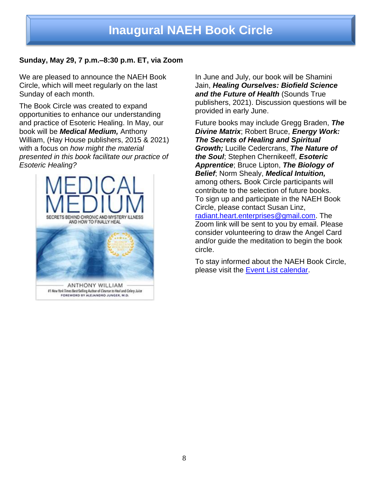#### **Sunday, May 29, 7 p.m.–8:30 p.m. ET, via Zoom**

We are pleased to announce the NAEH Book Circle, which will meet regularly on the last Sunday of each month.

The Book Circle was created to expand opportunities to enhance our understanding and practice of Esoteric Healing. In May, our book will be *Medical Medium,* Anthony William, (Hay House publishers, 2015 & 2021) with a focus on *how might the material presented in this book facilitate our practice of Esoteric Healing?* 



In June and July, our book will be Shamini Jain, *Healing Ourselves: Biofield Science and the Future of Health* (Sounds True publishers, 2021). Discussion questions will be provided in early June.

Future books may include Gregg Braden, *The Divine Matrix*; Robert Bruce, *Energy Work: The Secrets of Healing and Spiritual Growth;* Lucille Cedercrans, *The Nature of the Soul*; Stephen Chernikeeff, *Esoteric Apprentice*; Bruce Lipton, *The Biology of Belief*; Norm Shealy, *Medical Intuition,*  among others*.* Book Circle participants will contribute to the selection of future books. To sign up and participate in the NAEH Book Circle, please contact Susan Linz, [radiant.heart.enterprises@gmail.com.](about:blank) The Zoom link will be sent to you by email. Please consider volunteering to draw the Angel Card and/or guide the meditation to begin the book circle.

To stay informed about the NAEH Book Circle, please visit the [Event List calendar.](https://www.naehonline.org/event-list)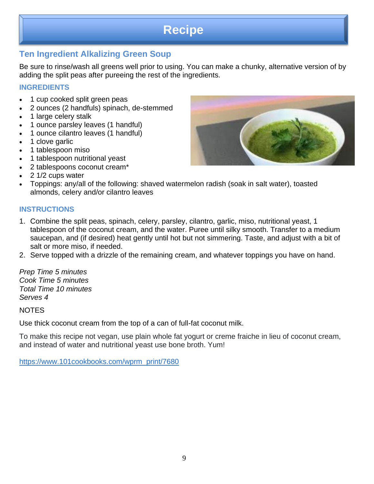## **Recipe**

### **Ten Ingredient Alkalizing Green Soup**

Be sure to rinse/wash all greens well prior to using. You can make a chunky, alternative version of by adding the split peas after pureeing the rest of the ingredients.

#### **INGREDIENTS**

*sdfasdf*

- 1 cup cooked split green peas
- 2 ounces (2 handfuls) spinach, de-stemmed
- 1 large celery stalk
- 1 ounce parsley leaves (1 handful)
- 1 ounce cilantro leaves (1 handful)
- 1 clove garlic
- 1 tablespoon miso
- 1 tablespoon nutritional yeast
- 2 tablespoons coconut cream\*
- 2 1/2 cups water
- Toppings: any/all of the following: shaved watermelon radish (soak in salt water), toasted almonds, celery and/or cilantro leaves

#### **INSTRUCTIONS**

- 1. Combine the split peas, spinach, celery, parsley, cilantro, garlic, miso, nutritional yeast, 1 tablespoon of the coconut cream, and the water. Puree until silky smooth. Transfer to a medium saucepan, and (if desired) heat gently until hot but not simmering. Taste, and adjust with a bit of salt or more miso, if needed.
- 2. Serve topped with a drizzle of the remaining cream, and whatever toppings you have on hand.

*Prep Time 5 minutes Cook Time 5 minutes Total Time 10 minutes Serves 4*

**NOTES** 

Use thick coconut cream from the top of a can of full-fat coconut milk.

To make this recipe not vegan, use plain whole fat yogurt or creme fraiche in lieu of coconut cream, and instead of water and nutritional yeast use bone broth. Yum!

[https://www.101cookbooks.com/wprm\\_print/7680](https://www.101cookbooks.com/wprm_print/7680)

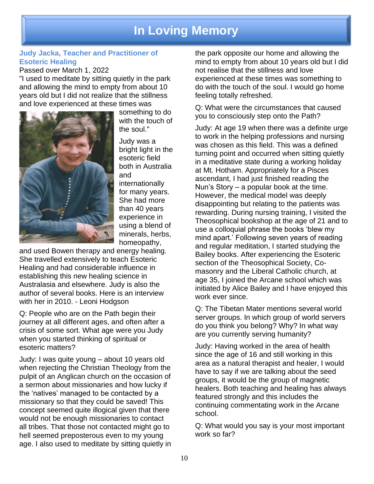## **In Loving Memory**

#### **Judy Jacka, Teacher and Practitioner of Esoteric Healing**

Passed over March 1, 2022

"I used to meditate by sitting quietly in the park and allowing the mind to empty from about 10 years old but I did not realize that the stillness and love experienced at these times was



something to do with the touch of the soul."

Judy was a bright light in the esoteric field both in Australia and internationally for many years. She had more than 40 years experience in using a blend of minerals, herbs, homeopathy,

and used Bowen therapy and energy healing. She travelled extensively to teach Esoteric Healing and had considerable influence in establishing this new healing science in Australasia and elsewhere. Judy is also the author of several books. Here is an interview with her in 2010. - Leoni Hodgson

Q: People who are on the Path begin their journey at all different ages, and often after a crisis of some sort. What age were you Judy when you started thinking of spiritual or esoteric matters?

Judy: I was quite young – about 10 years old when rejecting the Christian Theology from the pulpit of an Anglican church on the occasion of a sermon about missionaries and how lucky if the 'natives' managed to be contacted by a missionary so that they could be saved! This concept seemed quite illogical given that there would not be enough missionaries to contact all tribes. That those not contacted might go to hell seemed preposterous even to my young age. I also used to meditate by sitting quietly in

the park opposite our home and allowing the mind to empty from about 10 years old but I did not realise that the stillness and love experienced at these times was something to do with the touch of the soul. I would go home feeling totally refreshed.

Q: What were the circumstances that caused you to consciously step onto the Path?

Judy: At age 19 when there was a definite urge to work in the helping professions and nursing was chosen as this field. This was a defined turning point and occurred when sitting quietly in a meditative state during a working holiday at Mt. Hotham. Appropriately for a Pisces ascendant, I had just finished reading the Nun's Story – a popular book at the time. However, the medical model was deeply disappointing but relating to the patients was rewarding. During nursing training, I visited the Theosophical bookshop at the age of 21 and to use a colloquial phrase the books 'blew my mind apart.' Following seven years of reading and regular meditation, I started studying the Bailey books. After experiencing the Esoteric section of the Theosophical Society, Comasonry and the Liberal Catholic church, at age 35, I joined the Arcane school which was initiated by Alice Bailey and I have enjoyed this work ever since.

Q: The Tibetan Mater mentions several world server groups. In which group of world servers do you think you belong? Why? In what way are you currently serving humanity?

Judy: Having worked in the area of health since the age of 16 and still working in this area as a natural therapist and healer, I would have to say if we are talking about the seed groups, it would be the group of magnetic healers. Both teaching and healing has always featured strongly and this includes the continuing commentating work in the Arcane school.

Q: What would you say is your most important work so far?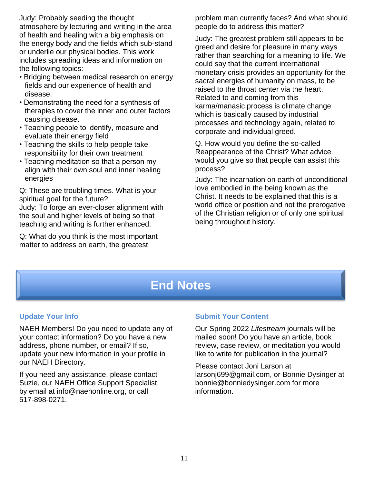Judy: Probably seeding the thought atmosphere by lecturing and writing in the area of health and healing with a big emphasis on the energy body and the fields which sub-stand or underlie our physical bodies. This work includes spreading ideas and information on the following topics:

- Bridging between medical research on energy fields and our experience of health and disease.
- Demonstrating the need for a synthesis of therapies to cover the inner and outer factors causing disease.
- Teaching people to identify, measure and evaluate their energy field
- Teaching the skills to help people take responsibility for their own treatment
- Teaching meditation so that a person my align with their own soul and inner healing energies

Q: These are troubling times. What is your spiritual goal for the future?

Judy: To forge an ever-closer alignment with the soul and higher levels of being so that teaching and writing is further enhanced.

Q: What do you think is the most important matter to address on earth, the greatest

problem man currently faces? And what should people do to address this matter?

Judy: The greatest problem still appears to be greed and desire for pleasure in many ways rather than searching for a meaning to life. We could say that the current international monetary crisis provides an opportunity for the sacral energies of humanity on mass, to be raised to the throat center via the heart. Related to and coming from this karma/manasic process is climate change which is basically caused by industrial processes and technology again, related to corporate and individual greed.

Q. How would you define the so-called Reappearance of the Christ? What advice would you give so that people can assist this process?

Judy: The incarnation on earth of unconditional love embodied in the being known as the Christ. It needs to be explained that this is a world office or position and not the prerogative of the Christian religion or of only one spiritual being throughout history.

# **End Notes**

### **Update Your Info**

NAEH Members! Do you need to update any of your contact information? Do you have a new address, phone number, or email? If so, update your new information in your profile in our NAEH Directory.

If you need any assistance, please contact Suzie, our NAEH Office Support Specialist, by email at info@naehonline.org, or call 517-898-0271.

#### **Submit Your Content**

Our Spring 2022 *Lifestream* journals will be mailed soon! Do you have an article, book review, case review, or meditation you would like to write for publication in the journal?

Please contact Joni Larson at larsonj699@gmail.com, or Bonnie Dysinger at bonnie@bonniedysinger.com for more information.